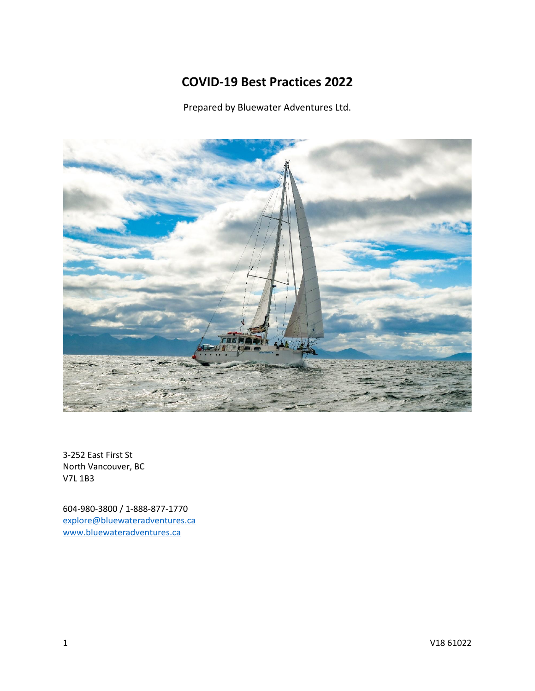# **COVID-19 Best Practices 2022**

Prepared by Bluewater Adventures Ltd.



3-252 East First St North Vancouver, BC V7L 1B3

604-980-3800 / 1-888-877-1770 [explore@bluewateradventures.ca](mailto:explore@bluewateradventures.ca) [www.bluewateradventures.ca](http://www.bluewateradventures.ca/)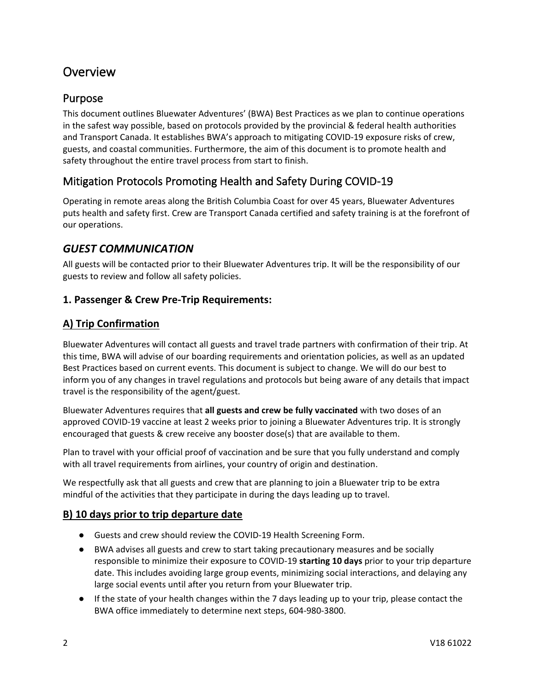# **Overview**

## Purpose

This document outlines Bluewater Adventures' (BWA) Best Practices as we plan to continue operations in the safest way possible, based on protocols provided by the provincial & federal health authorities and Transport Canada. It establishes BWA's approach to mitigating COVID-19 exposure risks of crew, guests, and coastal communities. Furthermore, the aim of this document is to promote health and safety throughout the entire travel process from start to finish.

## Mitigation Protocols Promoting Health and Safety During COVID-19

Operating in remote areas along the British Columbia Coast for over 45 years, Bluewater Adventures puts health and safety first. Crew are Transport Canada certified and safety training is at the forefront of our operations.

## *GUEST COMMUNICATION*

All guests will be contacted prior to their Bluewater Adventures trip. It will be the responsibility of our guests to review and follow all safety policies.

### **1. Passenger & Crew Pre-Trip Requirements:**

### **A) Trip Confirmation**

Bluewater Adventures will contact all guests and travel trade partners with confirmation of their trip. At this time, BWA will advise of our boarding requirements and orientation policies, as well as an updated Best Practices based on current events. This document is subject to change. We will do our best to inform you of any changes in travel regulations and protocols but being aware of any details that impact travel is the responsibility of the agent/guest.

Bluewater Adventures requires that **all guests and crew be fully vaccinated** with two doses of an approved COVID-19 vaccine at least 2 weeks prior to joining a Bluewater Adventures trip. It is strongly encouraged that guests & crew receive any booster dose(s) that are available to them.

Plan to travel with your official proof of vaccination and be sure that you fully understand and comply with all travel requirements from airlines, your country of origin and destination.

We respectfully ask that all guests and crew that are planning to join a Bluewater trip to be extra mindful of the activities that they participate in during the days leading up to travel.

### **B) 10 days prior to trip departure date**

- Guests and crew should review the COVID-19 Health Screening Form.
- BWA advises all guests and crew to start taking precautionary measures and be socially responsible to minimize their exposure to COVID-19 **starting 10 days** prior to your trip departure date. This includes avoiding large group events, minimizing social interactions, and delaying any large social events until after you return from your Bluewater trip.
- If the state of your health changes within the 7 days leading up to your trip, please contact the BWA office immediately to determine next steps, 604-980-3800.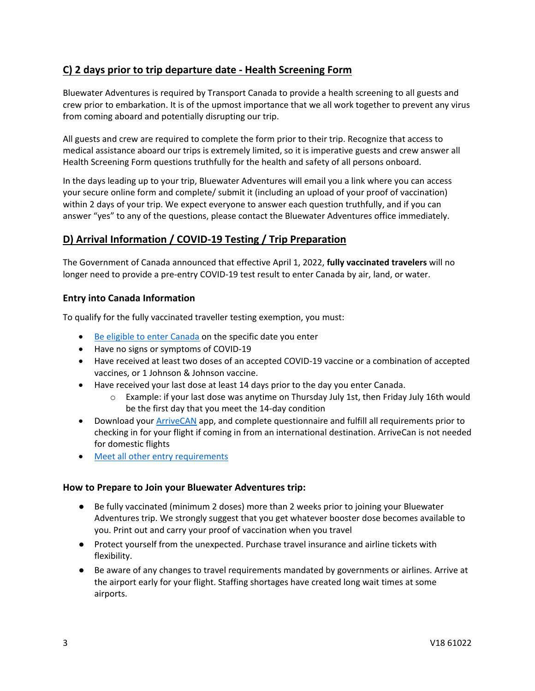## **C) 2 days prior to trip departure date - Health Screening Form**

Bluewater Adventures is required by Transport Canada to provide a health screening to all guests and crew prior to embarkation. It is of the upmost importance that we all work together to prevent any virus from coming aboard and potentially disrupting our trip.

All guests and crew are required to complete the form prior to their trip. Recognize that access to medical assistance aboard our trips is extremely limited, so it is imperative guests and crew answer all Health Screening Form questions truthfully for the health and safety of all persons onboard.

In the days leading up to your trip, Bluewater Adventures will email you a link where you can access your secure online form and complete/ submit it (including an upload of your proof of vaccination) within 2 days of your trip. We expect everyone to answer each question truthfully, and if you can answer "yes" to any of the questions, please contact the Bluewater Adventures office immediately.

## **D) Arrival Information / COVID-19 Testing / Trip Preparation**

The Government of Canada announced that effective April 1, 2022, **fully vaccinated travelers** will no longer need to provide a pre-entry COVID-19 test result to enter Canada by air, land, or water.

#### **Entry into Canada Information**

To qualify for the fully vaccinated traveller testing exemption, you must:

- [Be eligible to enter Canada](https://travel.gc.ca/travel-covid/travel-restrictions/covid-vaccinated-travellers-entering-canada#enter) on the specific date you enter
- Have no signs or symptoms of COVID-19
- Have received at least two doses of an accepted COVID-19 vaccine or a combination of accepted vaccines, or 1 Johnson & Johnson vaccine.
- Have received your last dose at least 14 days prior to the day you enter Canada.
	- o Example: if your last dose was anytime on Thursday July 1st, then Friday July 16th would be the first day that you meet the 14-day condition
- Download your [ArriveCAN](https://www.canada.ca/en/public-health/services/diseases/coronavirus-disease-covid-19/arrivecan.html) app, and complete questionnaire and fulfill all requirements prior to checking in for your flight if coming in from an international destination. ArriveCan is not needed for domestic flights
- [Meet all other entry requirements](https://travel.gc.ca/travel-covid/travel-restrictions/covid-vaccinated-travellers-entering-canada#entry-vaccinated)

#### **How to Prepare to Join your Bluewater Adventures trip:**

- Be fully vaccinated (minimum 2 doses) more than 2 weeks prior to joining your Bluewater Adventures trip. We strongly suggest that you get whatever booster dose becomes available to you. Print out and carry your proof of vaccination when you travel
- Protect yourself from the unexpected. Purchase travel insurance and airline tickets with flexibility.
- Be aware of any changes to travel requirements mandated by governments or airlines. Arrive at the airport early for your flight. Staffing shortages have created long wait times at some airports.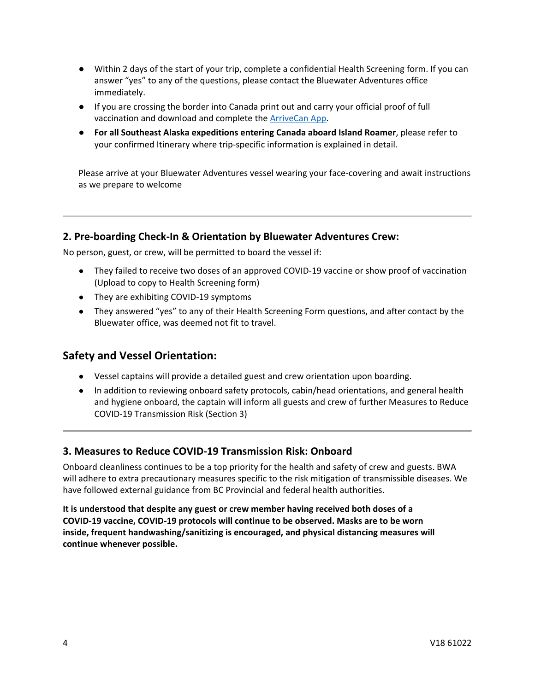- Within 2 days of the start of your trip, complete a confidential Health Screening form. If you can answer "yes" to any of the questions, please contact the Bluewater Adventures office immediately.
- If you are crossing the border into Canada print out and carry your official proof of full vaccination and download and complete the [ArriveCan App.](https://www.canada.ca/en/public-health/services/diseases/coronavirus-disease-covid-19/arrivecan.html)
- **For all Southeast Alaska expeditions entering Canada aboard Island Roamer**, please refer to your confirmed Itinerary where trip-specific information is explained in detail.

Please arrive at your Bluewater Adventures vessel wearing your face-covering and await instructions as we prepare to welcome

### **2. Pre-boarding Check-In & Orientation by Bluewater Adventures Crew:**

No person, guest, or crew, will be permitted to board the vessel if:

- They failed to receive two doses of an approved COVID-19 vaccine or show proof of vaccination (Upload to copy to Health Screening form)
- They are exhibiting COVID-19 symptoms
- They answered "yes" to any of their Health Screening Form questions, and after contact by the Bluewater office, was deemed not fit to travel.

### **Safety and Vessel Orientation:**

- Vessel captains will provide a detailed guest and crew orientation upon boarding.
- In addition to reviewing onboard safety protocols, cabin/head orientations, and general health and hygiene onboard, the captain will inform all guests and crew of further Measures to Reduce COVID-19 Transmission Risk (Section 3)

#### **3. Measures to Reduce COVID-19 Transmission Risk: Onboard**

Onboard cleanliness continues to be a top priority for the health and safety of crew and guests. BWA will adhere to extra precautionary measures specific to the risk mitigation of transmissible diseases. We have followed external guidance from BC Provincial and federal health authorities.

**It is understood that despite any guest or crew member having received both doses of a COVID-19 vaccine, COVID-19 protocols will continue to be observed. Masks are to be worn inside, frequent handwashing/sanitizing is encouraged, and physical distancing measures will continue whenever possible.**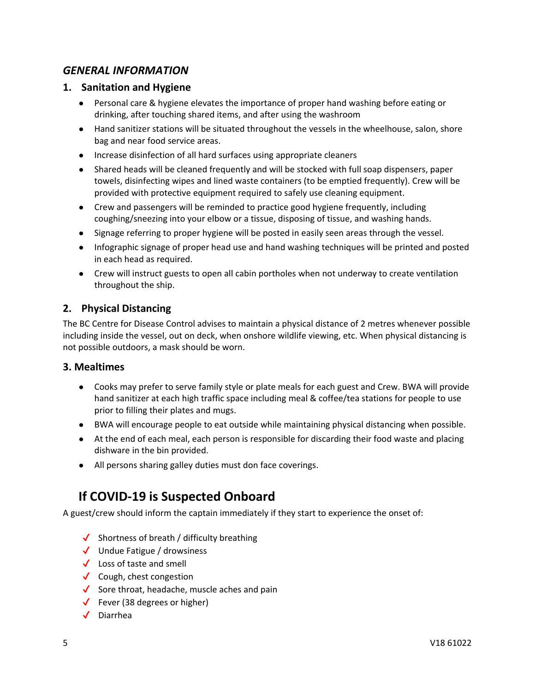## *GENERAL INFORMATION*

### **1. Sanitation and Hygiene**

- Personal care & hygiene elevates the importance of proper hand washing before eating or drinking, after touching shared items, and after using the washroom
- Hand sanitizer stations will be situated throughout the vessels in the wheelhouse, salon, shore bag and near food service areas.
- Increase disinfection of all hard surfaces using appropriate cleaners
- Shared heads will be cleaned frequently and will be stocked with full soap dispensers, paper towels, disinfecting wipes and lined waste containers (to be emptied frequently). Crew will be provided with protective equipment required to safely use cleaning equipment.
- Crew and passengers will be reminded to practice good hygiene frequently, including coughing/sneezing into your elbow or a tissue, disposing of tissue, and washing hands.
- Signage referring to proper hygiene will be posted in easily seen areas through the vessel.
- Infographic signage of proper head use and hand washing techniques will be printed and posted in each head as required.
- Crew will instruct guests to open all cabin portholes when not underway to create ventilation throughout the ship.

### **2. Physical Distancing**

The BC Centre for Disease Control advises to maintain a physical distance of 2 metres whenever possible including inside the vessel, out on deck, when onshore wildlife viewing, etc. When physical distancing is not possible outdoors, a mask should be worn.

#### **3. Mealtimes**

- Cooks may prefer to serve family style or plate meals for each guest and Crew. BWA will provide hand sanitizer at each high traffic space including meal & coffee/tea stations for people to use prior to filling their plates and mugs.
- BWA will encourage people to eat outside while maintaining physical distancing when possible.
- At the end of each meal, each person is responsible for discarding their food waste and placing dishware in the bin provided.
- All persons sharing galley duties must don face coverings.

# **If COVID-19 is Suspected Onboard**

A guest/crew should inform the captain immediately if they start to experience the onset of:

- $\checkmark$  Shortness of breath / difficulty breathing
- ✔ Undue Fatigue / drowsiness
- ✔ Loss of taste and smell
- $\checkmark$  Cough, chest congestion
- $\checkmark$  Sore throat, headache, muscle aches and pain
- $\checkmark$  Fever (38 degrees or higher)
- ✔ Diarrhea